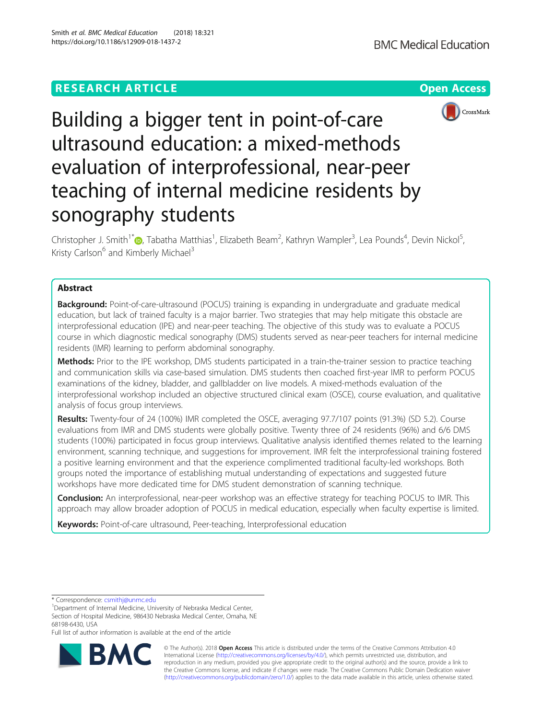# **RESEARCH ARTICLE Example 2018 12:30 THE Open Access**



# Building a bigger tent in point-of-care ultrasound education: a mixed-methods evaluation of interprofessional, near-peer teaching of internal medicine residents by sonography students

Christopher J. Smith<sup>1\*</sup>®[,](http://orcid.org/0000-0001-6417-0824) Tabatha Matthias<sup>1</sup>, Elizabeth Beam<sup>2</sup>, Kathryn Wampler<sup>3</sup>, Lea Pounds<sup>4</sup>, Devin Nickol<sup>5</sup> , Kristy Carlson<sup>6</sup> and Kimberly Michael<sup>3</sup>

# Abstract

**Background:** Point-of-care-ultrasound (POCUS) training is expanding in undergraduate and graduate medical education, but lack of trained faculty is a major barrier. Two strategies that may help mitigate this obstacle are interprofessional education (IPE) and near-peer teaching. The objective of this study was to evaluate a POCUS course in which diagnostic medical sonography (DMS) students served as near-peer teachers for internal medicine residents (IMR) learning to perform abdominal sonography.

Methods: Prior to the IPE workshop, DMS students participated in a train-the-trainer session to practice teaching and communication skills via case-based simulation. DMS students then coached first-year IMR to perform POCUS examinations of the kidney, bladder, and gallbladder on live models. A mixed-methods evaluation of the interprofessional workshop included an objective structured clinical exam (OSCE), course evaluation, and qualitative analysis of focus group interviews.

Results: Twenty-four of 24 (100%) IMR completed the OSCE, averaging 97.7/107 points (91.3%) (SD 5.2). Course evaluations from IMR and DMS students were globally positive. Twenty three of 24 residents (96%) and 6/6 DMS students (100%) participated in focus group interviews. Qualitative analysis identified themes related to the learning environment, scanning technique, and suggestions for improvement. IMR felt the interprofessional training fostered a positive learning environment and that the experience complimented traditional faculty-led workshops. Both groups noted the importance of establishing mutual understanding of expectations and suggested future workshops have more dedicated time for DMS student demonstration of scanning technique.

**Conclusion:** An interprofessional, near-peer workshop was an effective strategy for teaching POCUS to IMR. This approach may allow broader adoption of POCUS in medical education, especially when faculty expertise is limited.

Keywords: Point-of-care ultrasound, Peer-teaching, Interprofessional education

\* Correspondence: [csmithj@unmc.edu](mailto:csmithj@unmc.edu) <sup>1</sup>

<sup>1</sup>Department of Internal Medicine, University of Nebraska Medical Center, Section of Hospital Medicine, 986430 Nebraska Medical Center, Omaha, NE 68198-6430, USA

Full list of author information is available at the end of the article



© The Author(s). 2018 Open Access This article is distributed under the terms of the Creative Commons Attribution 4.0 International License [\(http://creativecommons.org/licenses/by/4.0/](http://creativecommons.org/licenses/by/4.0/)), which permits unrestricted use, distribution, and reproduction in any medium, provided you give appropriate credit to the original author(s) and the source, provide a link to the Creative Commons license, and indicate if changes were made. The Creative Commons Public Domain Dedication waiver [\(http://creativecommons.org/publicdomain/zero/1.0/](http://creativecommons.org/publicdomain/zero/1.0/)) applies to the data made available in this article, unless otherwise stated.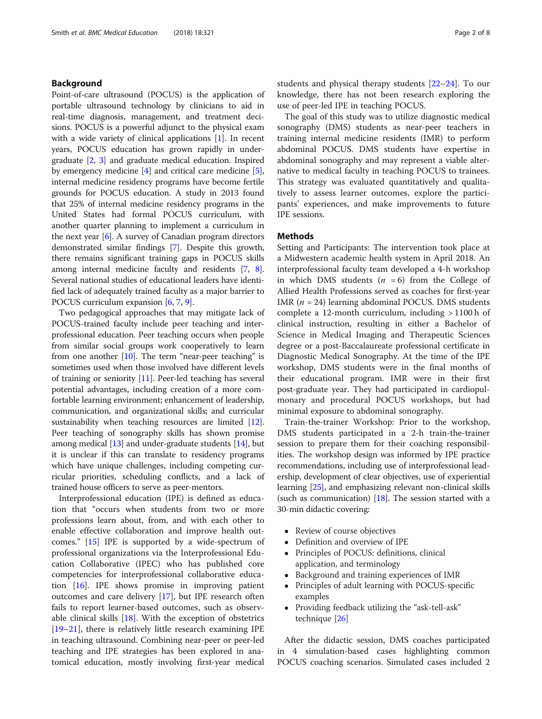# Background

Point-of-care ultrasound (POCUS) is the application of portable ultrasound technology by clinicians to aid in real-time diagnosis, management, and treatment decisions. POCUS is a powerful adjunct to the physical exam with a wide variety of clinical applications [[1\]](#page-6-0). In recent years, POCUS education has grown rapidly in undergraduate [\[2](#page-6-0), [3\]](#page-6-0) and graduate medical education. Inspired by emergency medicine [[4](#page-6-0)] and critical care medicine [[5](#page-6-0)], internal medicine residency programs have become fertile grounds for POCUS education. A study in 2013 found that 25% of internal medicine residency programs in the United States had formal POCUS curriculum, with another quarter planning to implement a curriculum in the next year [\[6\]](#page-7-0). A survey of Canadian program directors demonstrated similar findings [[7\]](#page-7-0). Despite this growth, there remains significant training gaps in POCUS skills among internal medicine faculty and residents [[7](#page-7-0), [8](#page-7-0)]. Several national studies of educational leaders have identified lack of adequately trained faculty as a major barrier to POCUS curriculum expansion [\[6](#page-7-0), [7,](#page-7-0) [9](#page-7-0)].

Two pedagogical approaches that may mitigate lack of POCUS-trained faculty include peer teaching and interprofessional education. Peer teaching occurs when people from similar social groups work cooperatively to learn from one another  $[10]$  $[10]$ . The term "near-peer teaching" is sometimes used when those involved have different levels of training or seniority [\[11\]](#page-7-0). Peer-led teaching has several potential advantages, including creation of a more comfortable learning environment; enhancement of leadership, communication, and organizational skills; and curricular sustainability when teaching resources are limited [[12](#page-7-0)]. Peer teaching of sonography skills has shown promise among medical [\[13](#page-7-0)] and under-graduate students [[14](#page-7-0)], but it is unclear if this can translate to residency programs which have unique challenges, including competing curricular priorities, scheduling conflicts, and a lack of trained house officers to serve as peer-mentors.

Interprofessional education (IPE) is defined as education that "occurs when students from two or more professions learn about, from, and with each other to enable effective collaboration and improve health outcomes." [[15](#page-7-0)] IPE is supported by a wide-spectrum of professional organizations via the Interprofessional Education Collaborative (IPEC) who has published core competencies for interprofessional collaborative education [\[16\]](#page-7-0). IPE shows promise in improving patient outcomes and care delivery [[17\]](#page-7-0), but IPE research often fails to report learner-based outcomes, such as observable clinical skills [[18](#page-7-0)]. With the exception of obstetrics [[19](#page-7-0)–[21](#page-7-0)], there is relatively little research examining IPE in teaching ultrasound. Combining near-peer or peer-led teaching and IPE strategies has been explored in anatomical education, mostly involving first-year medical students and physical therapy students [\[22](#page-7-0)–[24\]](#page-7-0). To our knowledge, there has not been research exploring the use of peer-led IPE in teaching POCUS.

The goal of this study was to utilize diagnostic medical sonography (DMS) students as near-peer teachers in training internal medicine residents (IMR) to perform abdominal POCUS. DMS students have expertise in abdominal sonography and may represent a viable alternative to medical faculty in teaching POCUS to trainees. This strategy was evaluated quantitatively and qualitatively to assess learner outcomes, explore the participants' experiences, and make improvements to future IPE sessions.

# **Methods**

Setting and Participants: The intervention took place at a Midwestern academic health system in April 2018. An interprofessional faculty team developed a 4-h workshop in which DMS students  $(n = 6)$  from the College of Allied Health Professions served as coaches for first-year IMR ( $n = 24$ ) learning abdominal POCUS. DMS students complete a 12-month curriculum, including > 1100 h of clinical instruction, resulting in either a Bachelor of Science in Medical Imaging and Therapeutic Sciences degree or a post-Baccalaureate professional certificate in Diagnostic Medical Sonography. At the time of the IPE workshop, DMS students were in the final months of their educational program. IMR were in their first post-graduate year. They had participated in cardiopulmonary and procedural POCUS workshops, but had minimal exposure to abdominal sonography.

Train-the-trainer Workshop: Prior to the workshop, DMS students participated in a 2-h train-the-trainer session to prepare them for their coaching responsibilities. The workshop design was informed by IPE practice recommendations, including use of interprofessional leadership, development of clear objectives, use of experiential learning [[25](#page-7-0)], and emphasizing relevant non-clinical skills (such as communication)  $[18]$  $[18]$  $[18]$ . The session started with a 30-min didactic covering:

- Review of course objectives
- Definition and overview of IPE<br>• Principles of POCUS: definition
- Principles of POCUS: definitions, clinical application, and terminology
- Background and training experiences of IMR
- Principles of adult learning with POCUS-specific examples
- Providing feedback utilizing the "ask-tell-ask" technique [\[26](#page-7-0)]

After the didactic session, DMS coaches participated in 4 simulation-based cases highlighting common POCUS coaching scenarios. Simulated cases included 2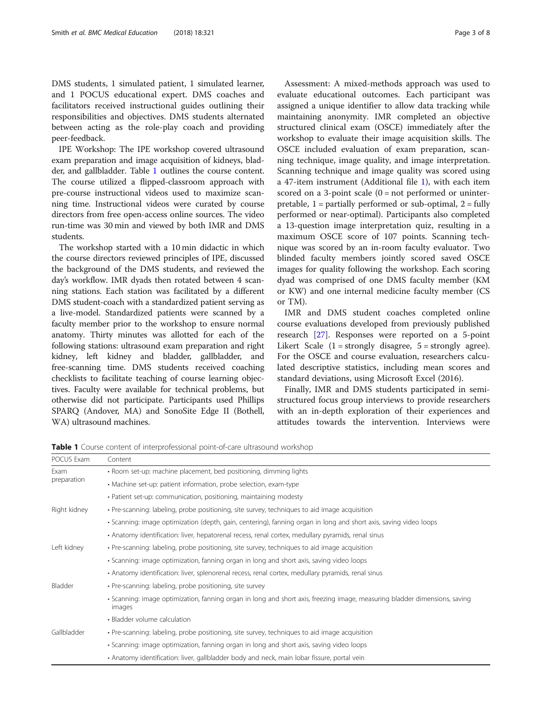DMS students, 1 simulated patient, 1 simulated learner, and 1 POCUS educational expert. DMS coaches and facilitators received instructional guides outlining their responsibilities and objectives. DMS students alternated between acting as the role-play coach and providing peer-feedback.

IPE Workshop: The IPE workshop covered ultrasound exam preparation and image acquisition of kidneys, bladder, and gallbladder. Table 1 outlines the course content. The course utilized a flipped-classroom approach with pre-course instructional videos used to maximize scanning time. Instructional videos were curated by course directors from free open-access online sources. The video run-time was 30 min and viewed by both IMR and DMS students.

The workshop started with a 10 min didactic in which the course directors reviewed principles of IPE, discussed the background of the DMS students, and reviewed the day's workflow. IMR dyads then rotated between 4 scanning stations. Each station was facilitated by a different DMS student-coach with a standardized patient serving as a live-model. Standardized patients were scanned by a faculty member prior to the workshop to ensure normal anatomy. Thirty minutes was allotted for each of the following stations: ultrasound exam preparation and right kidney, left kidney and bladder, gallbladder, and free-scanning time. DMS students received coaching checklists to facilitate teaching of course learning objectives. Faculty were available for technical problems, but otherwise did not participate. Participants used Phillips SPARQ (Andover, MA) and SonoSite Edge II (Bothell, WA) ultrasound machines.

Assessment: A mixed-methods approach was used to evaluate educational outcomes. Each participant was assigned a unique identifier to allow data tracking while maintaining anonymity. IMR completed an objective structured clinical exam (OSCE) immediately after the workshop to evaluate their image acquisition skills. The OSCE included evaluation of exam preparation, scanning technique, image quality, and image interpretation. Scanning technique and image quality was scored using a 47-item instrument (Additional file [1\)](#page-6-0), with each item scored on a 3-point scale  $(0 = not performed or uninter$ pretable,  $1$  = partially performed or sub-optimal,  $2$  = fully performed or near-optimal). Participants also completed a 13-question image interpretation quiz, resulting in a maximum OSCE score of 107 points. Scanning technique was scored by an in-room faculty evaluator. Two blinded faculty members jointly scored saved OSCE images for quality following the workshop. Each scoring dyad was comprised of one DMS faculty member (KM or KW) and one internal medicine faculty member (CS or TM).

IMR and DMS student coaches completed online course evaluations developed from previously published research [[27\]](#page-7-0). Responses were reported on a 5-point Likert Scale  $(1 =$  strongly disagree,  $5 =$  strongly agree). For the OSCE and course evaluation, researchers calculated descriptive statistics, including mean scores and standard deviations, using Microsoft Excel (2016).

Finally, IMR and DMS students participated in semistructured focus group interviews to provide researchers with an in-depth exploration of their experiences and attitudes towards the intervention. Interviews were

| POCUS Exam          | Content                                                                                                                              |
|---------------------|--------------------------------------------------------------------------------------------------------------------------------------|
| Exam<br>preparation | • Room set-up: machine placement, bed positioning, dimming lights                                                                    |
|                     | • Machine set-up: patient information, probe selection, exam-type                                                                    |
|                     | • Patient set-up: communication, positioning, maintaining modesty                                                                    |
| Right kidney        | • Pre-scanning: labeling, probe positioning, site survey, techniques to aid image acquisition                                        |
|                     | • Scanning: image optimization (depth, gain, centering), fanning organ in long and short axis, saving video loops                    |
|                     | • Anatomy identification: liver, hepatorenal recess, renal cortex, medullary pyramids, renal sinus                                   |
| Left kidney         | • Pre-scanning: labeling, probe positioning, site survey, techniques to aid image acquisition                                        |
|                     | • Scanning: image optimization, fanning organ in long and short axis, saving video loops                                             |
|                     | • Anatomy identification: liver, splenorenal recess, renal cortex, medullary pyramids, renal sinus                                   |
| Bladder             | · Pre-scanning: labeling, probe positioning, site survey                                                                             |
|                     | • Scanning: image optimization, fanning organ in long and short axis, freezing image, measuring bladder dimensions, saving<br>images |
|                     | • Bladder volume calculation                                                                                                         |
| Gallbladder         | • Pre-scanning: labeling, probe positioning, site survey, techniques to aid image acquisition                                        |
|                     | · Scanning: image optimization, fanning organ in long and short axis, saving video loops                                             |
|                     | • Anatomy identification: liver, gallbladder body and neck, main lobar fissure, portal vein                                          |

Table 1 Course content of interprofessional point-of-care ultrasound workshop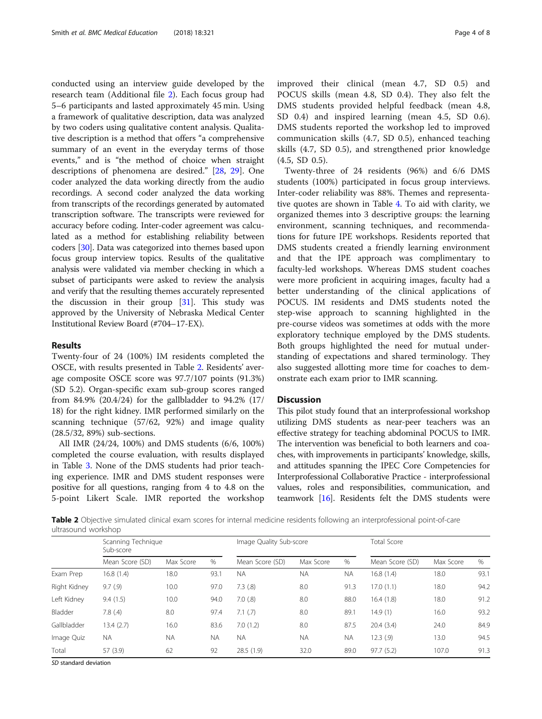conducted using an interview guide developed by the research team (Additional file [2\)](#page-6-0). Each focus group had 5–6 participants and lasted approximately 45 min. Using a framework of qualitative description, data was analyzed by two coders using qualitative content analysis. Qualitative description is a method that offers "a comprehensive summary of an event in the everyday terms of those events," and is "the method of choice when straight descriptions of phenomena are desired." [[28](#page-7-0), [29](#page-7-0)]. One coder analyzed the data working directly from the audio recordings. A second coder analyzed the data working from transcripts of the recordings generated by automated transcription software. The transcripts were reviewed for accuracy before coding. Inter-coder agreement was calculated as a method for establishing reliability between coders [[30](#page-7-0)]. Data was categorized into themes based upon focus group interview topics. Results of the qualitative analysis were validated via member checking in which a subset of participants were asked to review the analysis and verify that the resulting themes accurately represented the discussion in their group [[31](#page-7-0)]. This study was approved by the University of Nebraska Medical Center Institutional Review Board (#704–17-EX).

## Results

Twenty-four of 24 (100%) IM residents completed the OSCE, with results presented in Table 2. Residents' average composite OSCE score was 97.7/107 points (91.3%) (SD 5.2). Organ-specific exam sub-group scores ranged from 84.9% (20.4/24) for the gallbladder to 94.2% (17/ 18) for the right kidney. IMR performed similarly on the scanning technique (57/62, 92%) and image quality (28.5/32, 89%) sub-sections.

All IMR (24/24, 100%) and DMS students (6/6, 100%) completed the course evaluation, with results displayed in Table [3](#page-4-0). None of the DMS students had prior teaching experience. IMR and DMS student responses were positive for all questions, ranging from 4 to 4.8 on the 5-point Likert Scale. IMR reported the workshop improved their clinical (mean 4.7, SD 0.5) and POCUS skills (mean 4.8, SD 0.4). They also felt the DMS students provided helpful feedback (mean 4.8, SD 0.4) and inspired learning (mean 4.5, SD 0.6). DMS students reported the workshop led to improved communication skills (4.7, SD 0.5), enhanced teaching skills (4.7, SD 0.5), and strengthened prior knowledge (4.5, SD 0.5).

Twenty-three of 24 residents (96%) and 6/6 DMS students (100%) participated in focus group interviews. Inter-coder reliability was 88%. Themes and representative quotes are shown in Table [4.](#page-5-0) To aid with clarity, we organized themes into 3 descriptive groups: the learning environment, scanning techniques, and recommendations for future IPE workshops. Residents reported that DMS students created a friendly learning environment and that the IPE approach was complimentary to faculty-led workshops. Whereas DMS student coaches were more proficient in acquiring images, faculty had a better understanding of the clinical applications of POCUS. IM residents and DMS students noted the step-wise approach to scanning highlighted in the pre-course videos was sometimes at odds with the more exploratory technique employed by the DMS students. Both groups highlighted the need for mutual understanding of expectations and shared terminology. They also suggested allotting more time for coaches to demonstrate each exam prior to IMR scanning.

## **Discussion**

This pilot study found that an interprofessional workshop utilizing DMS students as near-peer teachers was an effective strategy for teaching abdominal POCUS to IMR. The intervention was beneficial to both learners and coaches, with improvements in participants' knowledge, skills, and attitudes spanning the IPEC Core Competencies for Interprofessional Collaborative Practice - interprofessional values, roles and responsibilities, communication, and teamwork [\[16](#page-7-0)]. Residents felt the DMS students were

Table 2 Objective simulated clinical exam scores for internal medicine residents following an interprofessional point-of-care ultrasound workshop

|                | Scanning Technique<br>Sub-score |           |           | Image Quality Sub-score |           |           | <b>Total Score</b> |           |      |
|----------------|---------------------------------|-----------|-----------|-------------------------|-----------|-----------|--------------------|-----------|------|
|                | Mean Score (SD)                 | Max Score | $\%$      | Mean Score (SD)         | Max Score | %         | Mean Score (SD)    | Max Score | %    |
| Exam Prep      | 16.8(1.4)                       | 18.0      | 93.1      | <b>NA</b>               | <b>NA</b> | <b>NA</b> | 16.8(1.4)          | 18.0      | 93.1 |
| Right Kidney   | 9.7(9)                          | 10.0      | 97.0      | 7.3(.8)                 | 8.0       | 91.3      | 17.0(1.1)          | 18.0      | 94.2 |
| Left Kidney    | 9.4(1.5)                        | 10.0      | 94.0      | $7.0$ $(.8)$            | 8.0       | 88.0      | 16.4(1.8)          | 18.0      | 91.2 |
| <b>Bladder</b> | 7.8(4)                          | 8.0       | 97.4      | $7.1$ (.7)              | 8.0       | 89.1      | 14.9(1)            | 16.0      | 93.2 |
| Gallbladder    | 13.4 (2.7)                      | 16.0      | 83.6      | 7.0(1.2)                | 8.0       | 87.5      | 20.4(3.4)          | 24.0      | 84.9 |
| Image Quiz     | <b>NA</b>                       | <b>NA</b> | <b>NA</b> | <b>NA</b>               | <b>NA</b> | <b>NA</b> | 12.3(.9)           | 13.0      | 94.5 |
| Total          | 57 (3.9)                        | 62        | 92        | 28.5(1.9)               | 32.0      | 89.0      | 97.7(5.2)          | 107.0     | 91.3 |

SD standard deviation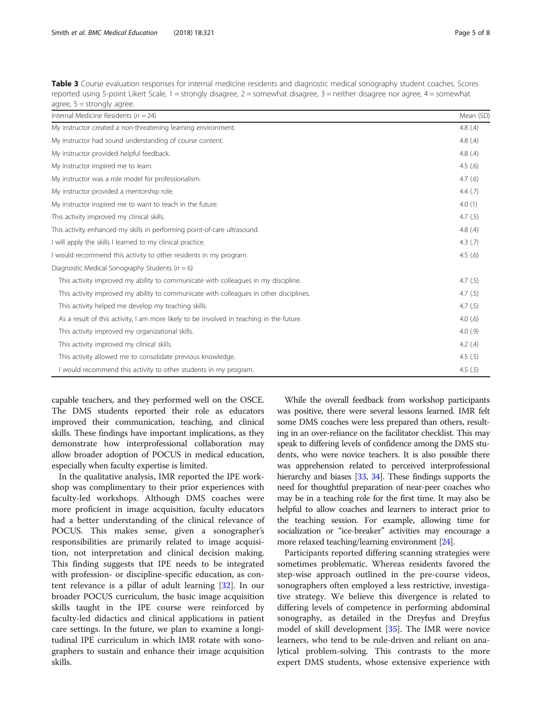<span id="page-4-0"></span>Table 3 Course evaluation responses for internal medicine residents and diagnostic medical sonography student coaches. Scores reported using 5-point Likert Scale,  $1 =$  strongly disagree,  $2 =$  somewhat disagree,  $3 =$  neither disagree nor agree,  $4 =$  somewhat agree,  $5 =$  strongly agree.

| Internal Medicine Residents ( $n = 24$ )                                                 | Mean (SD) |  |  |
|------------------------------------------------------------------------------------------|-----------|--|--|
| My instructor created a non-threatening learning environment.                            | 4.8(4)    |  |  |
| My instructor had sound understanding of course content.                                 | 4.8(.4)   |  |  |
| My instructor provided helpful feedback.                                                 | 4.8(.4)   |  |  |
| My instructor inspired me to learn.                                                      | 4.5(6)    |  |  |
| My instructor was a role model for professionalism.                                      | 4.7(6)    |  |  |
| My instructor provided a mentorship role.                                                | 4.4(.7)   |  |  |
| My instructor inspired me to want to teach in the future.                                | 4.0(1)    |  |  |
| This activity improved my clinical skills.                                               | 4.7(5)    |  |  |
| This activity enhanced my skills in performing point-of-care ultrasound.                 | 4.8(.4)   |  |  |
| I will apply the skills I learned to my clinical practice.                               | 4.3(.7)   |  |  |
| I would recommend this activity to other residents in my program.                        | 4.5(6)    |  |  |
| Diagnostic Medical Sonography Students ( $n = 6$ )                                       |           |  |  |
| This activity improved my ability to communicate with colleagues in my discipline.       | 4.7(5)    |  |  |
| This activity improved my ability to communicate with colleagues in other disciplines.   | 4.7(5)    |  |  |
| This activity helped me develop my teaching skills.                                      |           |  |  |
| As a result of this activity, I am more likely to be involved in teaching in the future. |           |  |  |
| This activity improved my organizational skills.                                         | 4.0(9)    |  |  |
| This activity improved my clinical skills.                                               |           |  |  |
| This activity allowed me to consolidate previous knowledge.                              |           |  |  |
| I would recommend this activity to other students in my program.                         | 4.5(.5)   |  |  |

capable teachers, and they performed well on the OSCE. The DMS students reported their role as educators improved their communication, teaching, and clinical skills. These findings have important implications, as they demonstrate how interprofessional collaboration may allow broader adoption of POCUS in medical education, especially when faculty expertise is limited.

In the qualitative analysis, IMR reported the IPE workshop was complimentary to their prior experiences with faculty-led workshops. Although DMS coaches were more proficient in image acquisition, faculty educators had a better understanding of the clinical relevance of POCUS. This makes sense, given a sonographer's responsibilities are primarily related to image acquisition, not interpretation and clinical decision making. This finding suggests that IPE needs to be integrated with profession- or discipline-specific education, as content relevance is a pillar of adult learning [[32](#page-7-0)]. In our broader POCUS curriculum, the basic image acquisition skills taught in the IPE course were reinforced by faculty-led didactics and clinical applications in patient care settings. In the future, we plan to examine a longitudinal IPE curriculum in which IMR rotate with sonographers to sustain and enhance their image acquisition skills.

While the overall feedback from workshop participants was positive, there were several lessons learned. IMR felt some DMS coaches were less prepared than others, resulting in an over-reliance on the facilitator checklist. This may speak to differing levels of confidence among the DMS students, who were novice teachers. It is also possible there was apprehension related to perceived interprofessional hierarchy and biases [\[33](#page-7-0), [34\]](#page-7-0). These findings supports the need for thoughtful preparation of near-peer coaches who may be in a teaching role for the first time. It may also be helpful to allow coaches and learners to interact prior to the teaching session. For example, allowing time for socialization or "ice-breaker" activities may encourage a more relaxed teaching/learning environment [[24\]](#page-7-0).

Participants reported differing scanning strategies were sometimes problematic. Whereas residents favored the step-wise approach outlined in the pre-course videos, sonographers often employed a less restrictive, investigative strategy. We believe this divergence is related to differing levels of competence in performing abdominal sonography, as detailed in the Dreyfus and Dreyfus model of skill development [[35\]](#page-7-0). The IMR were novice learners, who tend to be rule-driven and reliant on analytical problem-solving. This contrasts to the more expert DMS students, whose extensive experience with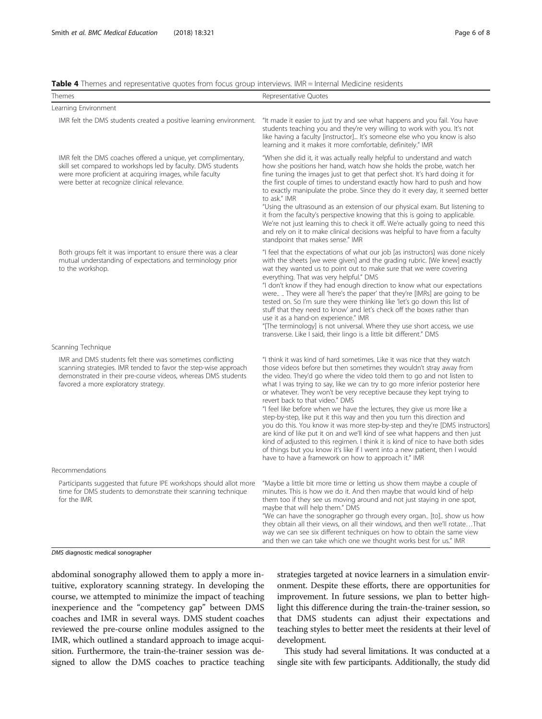<span id="page-5-0"></span>Table 4 Themes and representative quotes from focus group interviews. IMR = Internal Medicine residents

| Themes                                                                                                                                                                                                                                   | Representative Quotes                                                                                                                                                                                                                                                                                                                                                                                                                                                                                                                                                                                                                                                                                                                                                                                                                                                                                                                                                 |
|------------------------------------------------------------------------------------------------------------------------------------------------------------------------------------------------------------------------------------------|-----------------------------------------------------------------------------------------------------------------------------------------------------------------------------------------------------------------------------------------------------------------------------------------------------------------------------------------------------------------------------------------------------------------------------------------------------------------------------------------------------------------------------------------------------------------------------------------------------------------------------------------------------------------------------------------------------------------------------------------------------------------------------------------------------------------------------------------------------------------------------------------------------------------------------------------------------------------------|
| Learning Environment                                                                                                                                                                                                                     |                                                                                                                                                                                                                                                                                                                                                                                                                                                                                                                                                                                                                                                                                                                                                                                                                                                                                                                                                                       |
| IMR felt the DMS students created a positive learning environment.                                                                                                                                                                       | "It made it easier to just try and see what happens and you fail. You have<br>students teaching you and they're very willing to work with you. It's not<br>like having a faculty [instructor] It's someone else who you know is also<br>learning and it makes it more comfortable, definitely." IMR                                                                                                                                                                                                                                                                                                                                                                                                                                                                                                                                                                                                                                                                   |
| IMR felt the DMS coaches offered a unique, yet complimentary,<br>skill set compared to workshops led by faculty. DMS students<br>were more proficient at acquiring images, while faculty<br>were better at recognize clinical relevance. | "When she did it, it was actually really helpful to understand and watch<br>how she positions her hand, watch how she holds the probe, watch her<br>fine tuning the images just to get that perfect shot. It's hard doing it for<br>the first couple of times to understand exactly how hard to push and how<br>to exactly manipulate the probe. Since they do it every day, it seemed better<br>to ask." IMR<br>"Using the ultrasound as an extension of our physical exam. But listening to<br>it from the faculty's perspective knowing that this is going to applicable.<br>We're not just learning this to check it off. We're actually going to need this<br>and rely on it to make clinical decisions was helpful to have from a faculty<br>standpoint that makes sense." IMR                                                                                                                                                                                  |
| Both groups felt it was important to ensure there was a clear<br>mutual understanding of expectations and terminology prior<br>to the workshop.                                                                                          | "I feel that the expectations of what our job [as instructors] was done nicely<br>with the sheets [we were given] and the grading rubric. [We knew] exactly<br>wat they wanted us to point out to make sure that we were covering<br>everything. That was very helpful." DMS<br>"I don't know if they had enough direction to know what our expectations<br>were They were all 'here's the paper' that they're [IMRs] are going to be<br>tested on. So I'm sure they were thinking like 'let's go down this list of<br>stuff that they need to know' and let's check off the boxes rather than<br>use it as a hand-on experience." IMR<br>"[The terminology] is not universal. Where they use short access, we use<br>transverse. Like I said, their lingo is a little bit different." DMS                                                                                                                                                                            |
| Scanning Technique                                                                                                                                                                                                                       |                                                                                                                                                                                                                                                                                                                                                                                                                                                                                                                                                                                                                                                                                                                                                                                                                                                                                                                                                                       |
| IMR and DMS students felt there was sometimes conflicting<br>scanning strategies. IMR tended to favor the step-wise approach<br>demonstrated in their pre-course videos, whereas DMS students<br>favored a more exploratory strategy.    | "I think it was kind of hard sometimes. Like it was nice that they watch<br>those videos before but then sometimes they wouldn't stray away from<br>the video. They'd go where the video told them to go and not listen to<br>what I was trying to say, like we can try to go more inferior posterior here<br>or whatever. They won't be very receptive because they kept trying to<br>revert back to that video." DMS<br>"I feel like before when we have the lectures, they give us more like a<br>step-by-step, like put it this way and then you turn this direction and<br>you do this. You know it was more step-by-step and they're [DMS instructors]<br>are kind of like put it on and we'll kind of see what happens and then just<br>kind of adjusted to this regimen. I think it is kind of nice to have both sides<br>of things but you know it's like if I went into a new patient, then I would<br>have to have a framework on how to approach it." IMR |
| Recommendations                                                                                                                                                                                                                          |                                                                                                                                                                                                                                                                                                                                                                                                                                                                                                                                                                                                                                                                                                                                                                                                                                                                                                                                                                       |
| Participants suggested that future IPE workshops should allot more<br>time for DMS students to demonstrate their scanning technique<br>for the IMR.                                                                                      | "Maybe a little bit more time or letting us show them maybe a couple of<br>minutes. This is how we do it. And then maybe that would kind of help<br>them too if they see us moving around and not just staying in one spot,<br>maybe that will help them." DMS<br>"We can have the sonographer go through every organ [to] show us how<br>they obtain all their views, on all their windows, and then we'll rotateThat<br>way we can see six different techniques on how to obtain the same view<br>and then we can take which one we thought works best for us." IMR                                                                                                                                                                                                                                                                                                                                                                                                 |

# DMS diagnostic medical sonographer

abdominal sonography allowed them to apply a more intuitive, exploratory scanning strategy. In developing the course, we attempted to minimize the impact of teaching inexperience and the "competency gap" between DMS coaches and IMR in several ways. DMS student coaches reviewed the pre-course online modules assigned to the IMR, which outlined a standard approach to image acquisition. Furthermore, the train-the-trainer session was designed to allow the DMS coaches to practice teaching

strategies targeted at novice learners in a simulation environment. Despite these efforts, there are opportunities for improvement. In future sessions, we plan to better highlight this difference during the train-the-trainer session, so that DMS students can adjust their expectations and teaching styles to better meet the residents at their level of development.

This study had several limitations. It was conducted at a single site with few participants. Additionally, the study did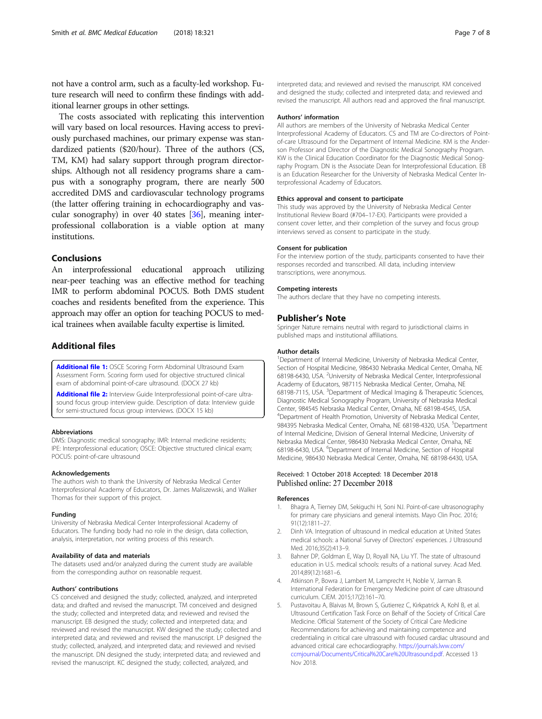<span id="page-6-0"></span>not have a control arm, such as a faculty-led workshop. Future research will need to confirm these findings with additional learner groups in other settings.

The costs associated with replicating this intervention will vary based on local resources. Having access to previously purchased machines, our primary expense was standardized patients (\$20/hour). Three of the authors (CS, TM, KM) had salary support through program directorships. Although not all residency programs share a campus with a sonography program, there are nearly 500 accredited DMS and cardiovascular technology programs (the latter offering training in echocardiography and vascular sonography) in over 40 states  $[36]$  $[36]$  $[36]$ , meaning interprofessional collaboration is a viable option at many institutions.

# Conclusions

An interprofessional educational approach utilizing near-peer teaching was an effective method for teaching IMR to perform abdominal POCUS. Both DMS student coaches and residents benefited from the experience. This approach may offer an option for teaching POCUS to medical trainees when available faculty expertise is limited.

# Additional files

[Additional file 1:](https://doi.org/10.1186/s12909-018-1437-2) OSCE Scoring Form Abdominal Ultrasound Exam Assessment Form. Scoring form used for objective structured clinical exam of abdominal point-of-care ultrasound. (DOCX 27 kb)

[Additional file 2:](https://doi.org/10.1186/s12909-018-1437-2) Interview Guide Interprofessional point-of-care ultrasound focus group interview guide. Description of data: Interview guide for semi-structured focus group interviews. (DOCX 15 kb)

#### Abbreviations

DMS: Diagnostic medical sonography; IMR: Internal medicine residents; IPE: Interprofessional education; OSCE: Objective structured clinical exam; POCUS: point-of-care ultrasound

#### Acknowledgements

The authors wish to thank the University of Nebraska Medical Center Interprofessional Academy of Educators, Dr. James Maliszewski, and Walker Thomas for their support of this project.

#### Funding

University of Nebraska Medical Center Interprofessional Academy of Educators. The funding body had no role in the design, data collection, analysis, interpretation, nor writing process of this research.

#### Availability of data and materials

The datasets used and/or analyzed during the current study are available from the corresponding author on reasonable request.

#### Authors' contributions

CS conceived and designed the study; collected, analyzed, and interpreted data; and drafted and revised the manuscript. TM conceived and designed the study; collected and interpreted data; and reviewed and revised the manuscript. EB designed the study; collected and interpreted data; and reviewed and revised the manuscript. KW designed the study; collected and interpreted data; and reviewed and revised the manuscript. LP designed the study; collected, analyzed, and interpreted data; and reviewed and revised the manuscript. DN designed the study; interpreted data; and reviewed and revised the manuscript. KC designed the study; collected, analyzed, and

interpreted data; and reviewed and revised the manuscript. KM conceived and designed the study; collected and interpreted data; and reviewed and revised the manuscript. All authors read and approved the final manuscript.

#### Authors' information

All authors are members of the University of Nebraska Medical Center Interprofessional Academy of Educators. CS and TM are Co-directors of Pointof-care Ultrasound for the Department of Internal Medicine. KM is the Anderson Professor and Director of the Diagnostic Medical Sonography Program. KW is the Clinical Education Coordinator for the Diagnostic Medical Sonography Program. DN is the Associate Dean for Interprofessional Education. EB is an Education Researcher for the University of Nebraska Medical Center Interprofessional Academy of Educators.

#### Ethics approval and consent to participate

This study was approved by the University of Nebraska Medical Center Institutional Review Board (#704–17-EX). Participants were provided a consent cover letter, and their completion of the survey and focus group interviews served as consent to participate in the study.

#### Consent for publication

For the interview portion of the study, participants consented to have their responses recorded and transcribed. All data, including interview transcriptions, were anonymous.

#### Competing interests

The authors declare that they have no competing interests.

#### Publisher's Note

Springer Nature remains neutral with regard to jurisdictional claims in published maps and institutional affiliations.

#### Author details

<sup>1</sup>Department of Internal Medicine, University of Nebraska Medical Center, Section of Hospital Medicine, 986430 Nebraska Medical Center, Omaha, NE 68198-6430, USA. <sup>2</sup>University of Nebraska Medical Center, Interprofessional Academy of Educators, 987115 Nebraska Medical Center, Omaha, NE 68198-7115, USA. <sup>3</sup>Department of Medical Imaging & Therapeutic Sciences, Diagnostic Medical Sonography Program, University of Nebraska Medical Center, 984545 Nebraska Medical Center, Omaha, NE 68198-4545, USA. 4 Department of Health Promotion, University of Nebraska Medical Center, 984395 Nebraska Medical Center, Omaha, NE 68198-4320, USA. <sup>5</sup>Department of Internal Medicine, Division of General Internal Medicine, University of Nebraska Medical Center, 986430 Nebraska Medical Center, Omaha, NE 68198-6430, USA. <sup>6</sup>Department of Internal Medicine, Section of Hospital Medicine, 986430 Nebraska Medical Center, Omaha, NE 68198-6430, USA.

## Received: 1 October 2018 Accepted: 18 December 2018 Published online: 27 December 2018

#### References

- 1. Bhagra A, Tierney DM, Sekiguchi H, Soni NJ. Point-of-care ultrasonography for primary care physicians and general internists. Mayo Clin Proc. 2016; 91(12):1811–27.
- 2. Dinh VA. Integration of ultrasound in medical education at United States medical schools: a National Survey of Directors' experiences. J Ultrasound Med. 2016;35(2):413–9.
- 3. Bahner DP, Goldman E, Way D, Royall NA, Liu YT. The state of ultrasound education in U.S. medical schools: results of a national survey. Acad Med. 2014;89(12):1681–6.
- 4. Atkinson P, Bowra J, Lambert M, Lamprecht H, Noble V, Jarman B. International Federation for Emergency Medicine point of care ultrasound curriculum. CJEM. 2015;17(2):161–70.
- 5. Pustavoitau A, Blaivas M, Brown S, Gutierrez C, Kirkpatrick A, Kohl B, et al. Ultrasound Certification Task Force on Behalf of the Society of Critical Care Medicine. Official Statement of the Society of Critical Care Medicine Recommendations for achieving and maintaining competence and credentialing in critical care ultrasound with focused cardiac ultrasound and advanced critical care echocardiography. [https://journals.lww.com/](https://journals.lww.com/ccmjournal/Documents/Critical%20Care%20Ultrasound.pdf) [ccmjournal/Documents/Critical%20Care%20Ultrasound.pdf.](https://journals.lww.com/ccmjournal/Documents/Critical%20Care%20Ultrasound.pdf) Accessed 13 Nov 2018.